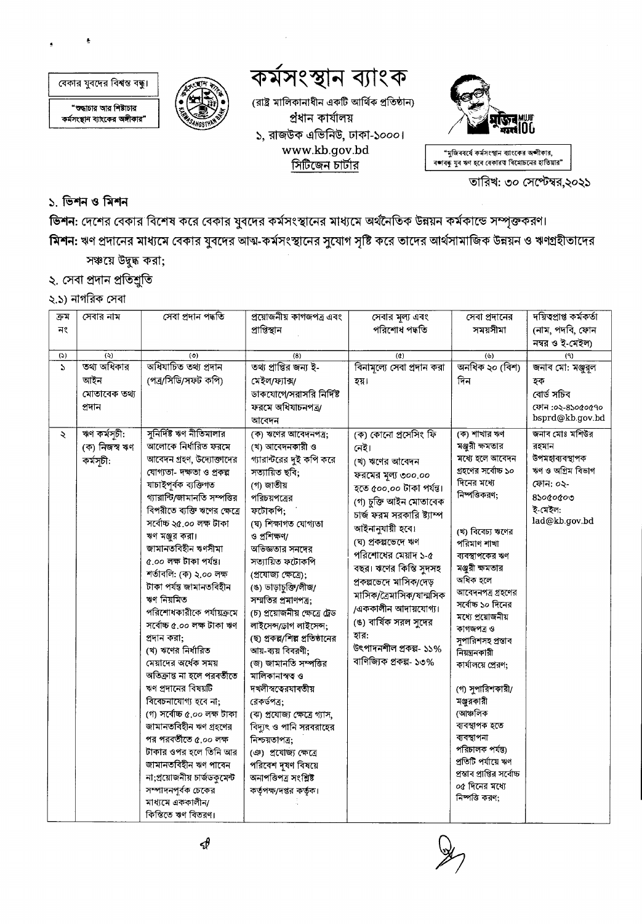বেকার যুবদের বিশ্বস্ত বন্ধু।

"শুদ্ধাচার আর শিষ্টাচার কর্মসংস্থান ব্যাংকের অঙ্গীকার"



কৰ্মসংস্থান ব্যাংক

(রাষ্ট্র মালিকানাধীন একটি আর্থিক প্রতিষ্ঠান) প্ৰধান কাৰ্যালয় ১, রাজউক এভিনিউ, ঢাকা-১০০০। www.kb.gov.bd সিটিজেন চার্টার



"মুজিববর্ষে কর্মসংস্থান ব্যাংকের অশীকার,<br>বশ্বাবন্ধু যুব ঋণ হবে বেকারত বিমোচনের হাতিয়ার"

তারিখ: ৩০ সেপ্টেম্বর,২০২১

### ১. ভিশন ও মিশন

ভিশন: দেশের বেকার বিশেষ করে বেকার যুবদের কর্মসংস্থানের মাধ্যমে অর্থনৈতিক উন্নয়ন কর্মকান্ডে সম্পৃক্তকরণ। মিশন: ঋণ প্রদানের মাধ্যমে বেকার যুবদের আত্ম-কর্মসংস্থানের সুযোগ সৃষ্টি করে তাদের আর্থসামাজিক উন্নয়ন ও ঋণগ্রহীতাদের সঞ্চয়ে উদ্বুদ্ধ করা;

- ২. সেবা প্রদান প্রতিশ্রুতি
- ২.১) নাগরিক সেবা

| ক্ৰম          | সেবার নাম     | সেবা প্ৰদান পদ্ধতি            | প্ৰয়োজনীয় কাগজপত্ৰ এবং       | সেবার মূল্য এবং            | সেবা প্রদানের                    | দয়িত্বপ্ৰাপ্ত কৰ্মকৰ্তা   |
|---------------|---------------|-------------------------------|--------------------------------|----------------------------|----------------------------------|----------------------------|
| নং            |               |                               | প্ৰাপ্তিস্থান                  | পরিশোধ পদ্ধতি              | সময়সীমা                         | (নাম, পদবি, ফোন            |
|               |               |                               |                                |                            |                                  | নম্বর ও ই-মেইল)            |
| (5)           | $(\zeta)$     | $($ c $)$                     | (8)                            | $\left( \mathbf{d}\right)$ | $(\mathcal{V})$                  | (9)                        |
| $\mathcal{L}$ | তথ্য অধিকার   | অধিযাচিত তথ্য প্ৰদান          | তথ্য প্রাপ্তির জন্য ই-         | বিনামূল্যে সেবা প্রদান করা | অনধিক ২০ (বিশ)                   | জনাব মো: মঞ্জুরূল          |
|               | আইন           | (পত্ৰ/সিডি/সফট কপি)           | মেইল/ফ্যাক্স/                  | হয়।                       | দিন                              | হক                         |
|               | মোতাবেক তথ্য  |                               | ডাকযোগে/সরাসরি নির্দিষ্ট       |                            |                                  | বোৰ্ড সচিব                 |
|               | প্ৰদান        |                               | ফরমে অধিযাচনপত্র/              |                            |                                  | ফোন :০২-৪১০৫০৫৭০           |
|               |               |                               | আবেদন                          |                            |                                  | $\texttt{bsprd@kb.gov.bd}$ |
| ₹             | ঋণ কৰ্মসূচী:  | সুনির্দিষ্ট ঋণ নীতিমালার      | (ক) ঋণের আবেদনপত্র;            | (ক) কোনো প্রসেসিং ফি       | (ক) শাখার ঋণ                     | জনাব মোঃ মশিউর             |
|               | (ক) নিজস্ব ঋণ | আলোকে নির্ধারিত ফরমে          | (খ) আবেদনকারী ও                | নেই।                       | মঞ্জুরী ক্ষমতার                  | রহমান                      |
|               | কৰ্মসূচী:     | আবেদন গ্রহণ, উদ্যোক্তাদের     | গ্যারান্টরের দুই কপি করে       | (খ) ঋণের আবেদন             | মধ্যে হলে আবেদন                  | উপমহাব্যবস্থাপক            |
|               |               | যোগ্যতা- দক্ষতা ও প্ৰকল্প     | সত্যায়িত ছবি;                 | ফরমের মূল্য ৩০০.০০         | গ্রহণের সর্বোচ্চ ১০              | ঋণ ও অগ্রিম বিভাগ          |
|               |               | যাচাইপূৰ্বক ব্যক্তিগত         | (গ) জাতীয়                     | হতে ৫০০.০০ টাকা পৰ্যন্ত।   | দিনের মধ্যে                      | ফোন: ০২-                   |
|               |               | গ্যারান্টি/জামানতি সম্পত্তির  | পরিচয়পত্রের                   | (গ) চুক্তি আইন মোতাবেক     | নিষ্পত্তিকরণ:                    | $8$ so $6$ o $6$ oo        |
|               |               | বিপরীতে ব্যক্তি ঋণের ক্ষেত্রে | ফটোকপি;                        | চার্জ ফরম সরকারি ষ্ট্যাম্প |                                  | ই-মেইল:                    |
|               |               | সৰ্বোচ্চ ২৫.০০ লক্ষ টাকা      | (ঘ) শিক্ষাগত যোগ্যতা           |                            |                                  | lad@kb.gov.bd              |
|               |               | ঋণ মঞ্জুর করা।                | ও প্ৰশিক্ষণ/                   | আইনানুযায়ী হবে।           | (খ) বিবেচ্য ঋণের                 |                            |
|               |               | জামানতবিহীন ঋণসীমা            | অভিজ্ঞতার সনদের                | (ঘ) প্ৰকল্পভেদে ঋণ         | পরিমাণ শাখা                      |                            |
|               |               | ৫.০০ লক্ষ টাকা পৰ্যন্ত।       | সত্যায়িত ফটোকপি               | পরিশোধের মেয়াদ ১-৫        | ব্যবস্থাপকের ঋণ                  |                            |
|               |               | শর্তাবলি: (ক) ২.০০ লক্ষ       | (প্ৰযোজ্য ক্ষেত্ৰে);           | বছর। ঋণের কিন্তি সুদসহ     | মঞ্জুরী ক্ষমতার<br>অধিক হলে      |                            |
|               |               | টাকা পৰ্যন্ত জামানতবিহীন      | (ঙ) ভাড়াচুক্তি/লীজ/           | প্রকল্পভেদে মাসিক/দেড়     | আবেদনপত্র গ্রহণের                |                            |
|               |               | ঋণ নিয়মিত                    | সম্মতির প্রমাণপত্র;            | মাসিক/ত্ৰৈমাসিক/ষান্মসিক   | সর্বোচ্চ ১০ দিনের                |                            |
|               |               | পরিশোধকারীকে পর্যায়ক্রমে     | (চ) প্রয়োজনীয় ক্ষেত্রে ট্রেড | /এককালীন আদায়যোগ্য।       | মধ্যে প্ৰয়োজনীয়                |                            |
|               |               | সৰ্বোচ্চ ৫.০০ লক্ষ টাকা ঋণ    | লাইসেন্স/ডাগ লাইসেন্স;         | (ঙ) বার্ষিক সরল সুদের      | কাগজপত্ৰ ও                       |                            |
|               |               | প্ৰদান করা;                   | (ছ) প্রকল্প/শিল্প প্রতিষ্ঠানের | হার:                       | সুপারিশসহ প্রস্তাব               |                            |
|               |               | (খ) ঋণের নির্ধারিত            | আয়-ব্যয় বিবরণী:              | উৎপাদনশীল প্ৰকল্প- ১১%     | নিয়ন্ত্ৰনকারী                   |                            |
|               |               | মেয়াদের অর্ধেক সময়          | (জ) জামানতি সম্পত্তির          | বাণিজ্যিক প্রকল্প- ১৩%     | কার্যালয়ে প্রেরণ;               |                            |
|               |               | অতিক্রান্ত না হলে পরবর্তীতে   | মালিকানাস্বত্ব ও               |                            |                                  |                            |
|               |               | ঋণ প্রদানের বিষয়টি           | দখলীস্বতেরযাবতীয়              |                            | (গ) সুপারিশকারী/                 |                            |
|               |               | বিবেচনাযোগ্য হবে না;          | রেকর্ডপত্র:                    |                            | মঞ্জরকারী                        |                            |
|               |               | (গ) সৰ্বোচ্চ ৫.০০ লক্ষ টাকা   | (ঝ) প্রযোজ্য ক্ষেত্রে গ্যাস,   |                            | (আঞ্চলিক                         |                            |
|               |               | জামানতবিহীন ঋণ গ্ৰহণের        | বিদ্যুৎ ও পানি সরবরাহের        |                            | ব্যবস্থাপক হতে                   |                            |
|               |               | পর পরবর্তীতে ৫.০০ লক্ষ        | নিশ্চয়তাপত্ৰ;                 |                            | ব্যবস্থাপনা                      |                            |
|               |               | টাকার ওপর হলে তিনি আর         | (ঞ) প্রযোজ্য ক্ষেত্রে          |                            | পরিচালক পর্যন্ত)                 |                            |
|               |               | জামানতবিহীন ঋণ পাবেন          | পরিবেশ দূষণ বিষয়ে             |                            | প্রতিটি পর্যায়ে ঋণ              |                            |
|               |               | না;প্রয়োজনীয় চার্জডকুমেন্ট  | অনাপত্তিপত্ৰ সংশ্লিষ্ট         |                            | প্রস্তাব প্রাপ্তির সর্বোচ্চ      |                            |
|               |               | সম্পাদনপূর্বক চেকের           | কর্তৃপক্ষ/দপ্তর কর্তৃক।        |                            | ০৫ দিনের মধ্যে<br>নিম্পত্তি করণ; |                            |
|               |               | মাধ্যমে এককালীন/              |                                |                            |                                  |                            |
|               |               | কিস্তিতে ঋণ বিতরণ।            |                                |                            |                                  |                            |

⊲∜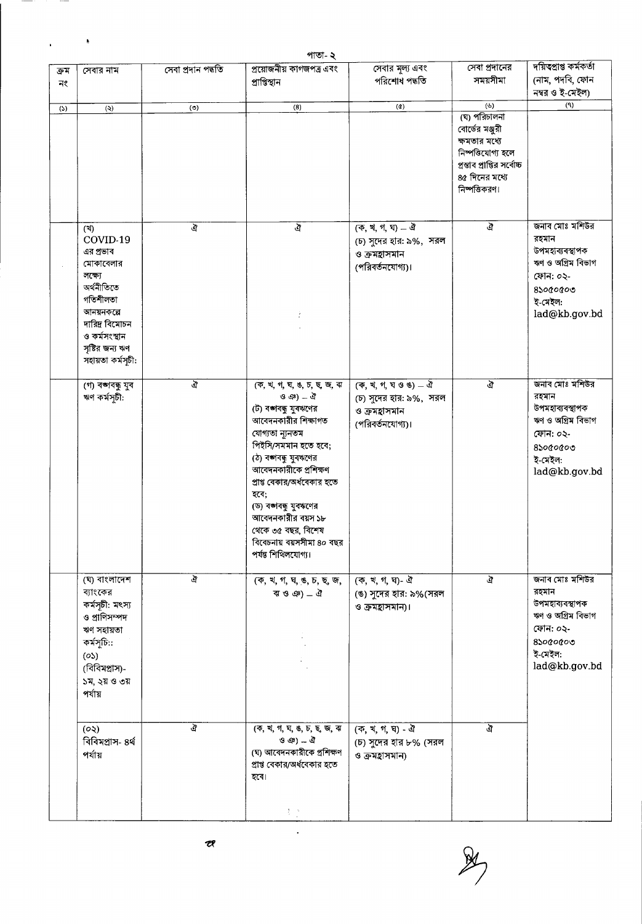|            | পাতা-২                                                                                                                                                                  |                    |                                                                                                                                                                                                                                                                                                                                                       |                                                                                                                                                       |                                                                                                                                                             |                                                                                                                                |  |  |
|------------|-------------------------------------------------------------------------------------------------------------------------------------------------------------------------|--------------------|-------------------------------------------------------------------------------------------------------------------------------------------------------------------------------------------------------------------------------------------------------------------------------------------------------------------------------------------------------|-------------------------------------------------------------------------------------------------------------------------------------------------------|-------------------------------------------------------------------------------------------------------------------------------------------------------------|--------------------------------------------------------------------------------------------------------------------------------|--|--|
| ক্ৰম<br>নং | সেবার নাম                                                                                                                                                               | সেবা প্ৰদান পদ্ধতি | প্রয়োজনীয় কাগজপত্র এবং<br>প্ৰাপ্তিস্থান                                                                                                                                                                                                                                                                                                             | সেবার মূল্য এবং<br>পরিশোধ পদ্ধতি                                                                                                                      | সেবা প্রদানের<br>সময়সীমা                                                                                                                                   | দয়িত্বপ্ৰাপ্ত কৰ্মকৰ্তা<br>(নাম, পদবি, ফোন                                                                                    |  |  |
|            |                                                                                                                                                                         |                    |                                                                                                                                                                                                                                                                                                                                                       |                                                                                                                                                       |                                                                                                                                                             | নম্বর ও ই-মেইল)                                                                                                                |  |  |
| (5)        | $(\lambda)$                                                                                                                                                             | $\circ$            | (8)                                                                                                                                                                                                                                                                                                                                                   | $(\alpha)$                                                                                                                                            | $(\mathcal{G})$<br>(ঘ) পরিচালনা<br>বোর্ডের মঞ্জুরী<br>ক্ষমতার মধ্যে<br>নিষ্পত্তিযোগ্য হলে<br>প্রস্তাব প্রাপ্তির সর্বোচ্চ<br>৪৫ দিনের মধ্যে<br>নিষ্পত্তিকরণ। | (9)                                                                                                                            |  |  |
|            | (3)<br>COVID-19<br>এর প্রভাব<br>মোকাবেলার<br>লক্ষ্যে<br>অৰ্থনীতিতে<br>গতিশীলতা<br>আনয়নকল্লে<br>দারিদ্র বিমোচন<br>ও কর্মসংস্থান<br>সৃষ্টির জন্য ঋণ<br>সহায়তা কৰ্মসূচী: | ক্র                | ঐ<br>÷                                                                                                                                                                                                                                                                                                                                                | $(\overline{\Phi}, \overline{A}, \overline{A}, \overline{A}) = \overline{A}$<br>(চ) সুদের হার: ৯%, সরল<br>ও ক্রমহাসমান<br>(পরিবর্তনযোগ্য)।            | ঐ                                                                                                                                                           | জনাব মোঃ মশিউর<br>রহমান<br>উপমহাব্যবস্থাপক<br>ঋণ ও অগ্রিম বিভাগ<br>ফোন: ০২-<br>$8$ sococoo<br>ই-মেইল:<br>lad@kb.gov.bd         |  |  |
|            | (গ) বজাবন্ধু যুব<br>ঋণ কৰ্মসূচী:                                                                                                                                        | ক্র                | (क, थ, গ, घ, ঙ, চ, ছ, জ, ঝ<br>ও ঞ) $-$ ঐ<br>(ট) বঙ্গবন্ধু যুবঋণের<br>আবেদনকারীর শিক্ষাগত<br>যোগ্যতা ন্যূনতম<br>পিইসি/সমমান হতে হবে;<br>(ঠ) বঙ্গবন্ধু যুবঋণের<br>আবেদনকারীকে প্রশিক্ষণ<br>প্রাপ্ত বেকার/অর্ধবেকার হতে<br>হবে;<br>(ড) বঙ্গবন্ধু যুবঋণের<br>আবেদনকারীর বয়স ১৮<br>থেকে ৩৫ বছর, বিশেষ<br>বিবেচনায় বয়সসীমা ৪০ বছর<br>পৰ্যন্ত শিথিলযোগ্য। | $(\overline{q}, \overline{q}, \overline{q}, \overline{q}, \overline{q}) = \overline{q}$<br>(চ) সুদের হার: ৯%, সরল<br>ও ক্রমহাসমান<br>(পরিবর্তনযোগ্য)। | $\mathbf{z}$                                                                                                                                                | জনাব মোঃ মশিউর<br>রহমান<br>উপমহাব্যবস্থাপক<br>ঋণ ও অগ্রিম বিভাগ<br>ফোন: ০২-<br>$8$ so $6$ o $6$ oo<br>ই-মেইল:<br>lad@kb.gov.bd |  |  |
|            | (ঘ) বাংলাদেশ<br>ব্যাংকের<br>কর্মসূচী: মৎস্য<br>ও প্রাণিসম্পদ<br>ঋণ সহায়তা<br>কৰ্মসূচি::<br>(05)<br>(বিবিমপ্ৰাস)-<br>১ম, ২য় ও ৩য়<br>পর্যায়                           | ঐ                  | (क, थ, १, घ, ७, ५, छ, জ,<br>কাও ঞ) $-$ ঐ                                                                                                                                                                                                                                                                                                              | (ক, খ, গ, ঘ)- ঐ<br>(ঙ) সুদের হার: ৯%(সরল<br>ও ক্রমহাসমান)।                                                                                            | ঐ                                                                                                                                                           | জনাব মোঃ মশিউর<br>রহমান<br>উপমহাব্যবস্থাপক<br>ঋণ ও অগ্রিম বিভাগ<br>ফোন: ০২-<br>85000000<br>ই-মেইল:<br>lad@kb.gov.bd            |  |  |
|            | (63)<br>বিবিমপ্ৰাস- ৪ৰ্থ<br>পৰ্যায়                                                                                                                                     | ঐ                  | (ক, খ, গ, ঘ, ঙ, চ, ছ, জ, ঝ<br>ওঞ) — ঐ<br>(ঘ) আবেদনকারীকে প্রশিক্ষণ<br>প্রাপ্ত বেকার/অর্ধবেকার হতে<br>হবে।<br>$\frac{1}{2}$ , $\frac{5}{2}$                                                                                                                                                                                                            | (ক, খ, গ, ঘ) - ঐ<br>(চ) সুদের হার ৮% (সরল<br>ও ক্রমহাসমান)                                                                                            | $\overline{\mathbf{s}}$                                                                                                                                     |                                                                                                                                |  |  |

 $\ddot{\cdot}$ 

 $\ddot{\phantom{a}}$ 

 $\blacksquare$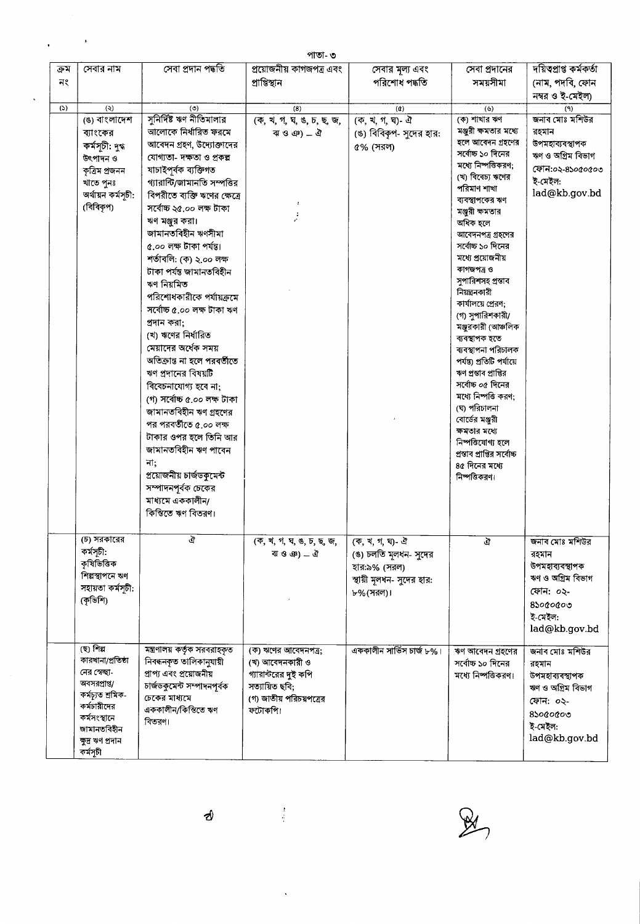|            | পাতা- ৩                                                                                                                                                            |                                                                                                                                                                                                                                                                                                                                                                                                                                                                                                                                                                                                                                                                                                                                                                                                                         |                                                                                                                        |                                                                                                   |                                                                                                                                                                                                                                                                                                                                                                                                                                                                                                                                                                                                                                                                         |                                                                                                                        |  |  |  |  |
|------------|--------------------------------------------------------------------------------------------------------------------------------------------------------------------|-------------------------------------------------------------------------------------------------------------------------------------------------------------------------------------------------------------------------------------------------------------------------------------------------------------------------------------------------------------------------------------------------------------------------------------------------------------------------------------------------------------------------------------------------------------------------------------------------------------------------------------------------------------------------------------------------------------------------------------------------------------------------------------------------------------------------|------------------------------------------------------------------------------------------------------------------------|---------------------------------------------------------------------------------------------------|-------------------------------------------------------------------------------------------------------------------------------------------------------------------------------------------------------------------------------------------------------------------------------------------------------------------------------------------------------------------------------------------------------------------------------------------------------------------------------------------------------------------------------------------------------------------------------------------------------------------------------------------------------------------------|------------------------------------------------------------------------------------------------------------------------|--|--|--|--|
| ক্ৰম<br>নং | সেবার নাম                                                                                                                                                          | সেবা প্ৰদান পদ্ধতি                                                                                                                                                                                                                                                                                                                                                                                                                                                                                                                                                                                                                                                                                                                                                                                                      | প্রয়োজনীয় কাগজপত্র এবং<br>প্ৰাপ্তিস্থান                                                                              | সেবার মূল্য এবং<br>পরিশোধ পদ্ধতি                                                                  | সেবা প্রদানের<br>সময়সীমা                                                                                                                                                                                                                                                                                                                                                                                                                                                                                                                                                                                                                                               | দয়িত্বপ্ৰাপ্ত কৰ্মকৰ্তা<br>(নাম, পদবি, ফোন<br>নম্বর ও ই-মেইল)                                                         |  |  |  |  |
| (5)        | $\ddot{\mathcal{L}}$                                                                                                                                               | (                                                                                                                                                                                                                                                                                                                                                                                                                                                                                                                                                                                                                                                                                                                                                                                                                       | (8)                                                                                                                    | $(\alpha)$                                                                                        | (6)                                                                                                                                                                                                                                                                                                                                                                                                                                                                                                                                                                                                                                                                     | (9)                                                                                                                    |  |  |  |  |
|            | (ঙ) বাংলাদেশ<br>ব্যাংকের<br>কর্মসূচী: দুগ্ধ<br>উৎপাদন ও<br>কৃত্ৰিম প্ৰজনন<br>খাতে পুনঃ<br>অর্থায়ন কর্মসূচী:<br>(বিবিকৃপ)                                          | সুনির্দিষ্ট ঋণ নীতিমালার<br>আলোকে নির্ধারিত ফরমে<br>আবেদন গ্রহণ, উদ্যোক্তাদের<br>যোগ্যতা- দক্ষতা ও প্ৰকল্প<br>যাচাইপূৰ্বক ব্যক্তিগত<br>গ্যারান্টি/জামানতি সম্পত্তির<br>বিপরীতে ব্যক্তি ঋণের ক্ষেত্রে<br>সৰ্বোচ্চ ২৫.০০ লক্ষ টাকা<br>ঋণ মঞ্জুর করা।<br>জামানতবিহীন ঋণসীমা<br>৫.০০ লক্ষ টাকা পৰ্যন্ত।<br>শৰ্তাবলি: (ক) ২.০০ লক্ষ<br>টাকা পৰ্যন্ত জামানতবিহীন<br>ঋণ নিয়মিত<br>পরিশোধকারীকে পর্যায়ক্রমে<br>সৰ্বোচ্চ ৫.০০ লক্ষ টাকা ঋণ<br>প্রদান করা;<br>(খ) ঋণের নির্ধারিত<br>মেয়াদের অর্ধেক সময়<br>অতিক্রান্ত না হলে পরবর্তীতে<br>ঋণ প্রদানের বিষয়টি<br>বিবেচনাযোগ্য হবে না;<br>(গ) সৰ্বোচ্চ ৫.০০ লক্ষ টাকা<br>জামানতবিহীন ঋণ গ্ৰহণের<br>পর পরবর্তীতে ৫.০০ লক্ষ<br>টাকার ওপর হলে তিনি আর<br>জামানতবিহীন ঋণ পাবেন<br>না;<br>প্ৰয়োজনীয় চাৰ্জডকুমেন্ট<br>সম্পাদনপূর্বক চেকের<br>মাধ্যমে এককালীন/<br>কিস্তিতে ঋণ বিতরণ। | (क, य, ग, घ, ঙ, চ, ছ, জ,<br>ৰ ও ঞ) _ ঐ<br>$\frac{1}{2}$                                                                | (ক, খ, গ, ঘ) - ঐ<br>(ঙ) বিবিকৃপ- সুদের হার:<br>৫% (সরল)                                           | (ক) শাখার ঋণ<br>মঞ্জুরী ক্ষমতার মধ্যে<br>হলে আবেদন গ্রহণের<br>সর্বোচ্চ ১০ দিনের<br>মধ্যে নিষ্পত্তিকরণ;<br>(খ) বিবেচ্য ঋণের<br>পরিমাণ শাখা<br>ব্যবস্থাপকের ঋণ<br>মঞ্জুরী ক্ষমতার<br>অধিক হলে<br>আবেদনপত্র গ্রহণের<br>সর্বোচ্চ ১০ দিনের<br>মধ্যে প্ৰয়োজনীয়<br>কাগজপত্ৰ ও<br>সুপারিশসহ প্রস্তাব<br>নিয়ন্তনকারী<br>কার্যালয়ে প্রেরণ;<br>(গ) সুপারিশকারী/<br>মঞ্জুরকারী (আঞ্চলিক<br>ব্যবস্থাপক হতে<br>ব্যবস্থাপনা পরিচালক<br>পর্যন্ত) প্রতিটি পর্যায়ে<br>ঋণ প্ৰস্তাব প্ৰাপ্তির<br>সর্বোচ্চ ০৫ দিনের<br>মধ্যে নিষ্পত্তি করণ;<br>(ঘ) পরিচালনা<br>বোর্ডের মঞ্জুরী<br>ক্ষমতার মধ্যে<br>নিষ্পত্তিযোগ্য হলে<br>প্রন্তাব প্রাপ্তির সর্বোচ্চ<br>৪৫ দিনের মধ্যে<br>নিষ্পত্তিকরণ। | জনাব মোঃ মশিউর<br>রহমান<br>উপমহাব্যবস্থাপক<br>ঋণ ও অগ্রিম বিভাগ<br>ফোন:০২-৪১০৫০৫০৩<br>ই মেইল:<br>lad@kb.gov.bd         |  |  |  |  |
|            | (চ) সরকারের<br>কৰ্মসূচী:<br>কৃষিভিত্তিক<br>শিল্পস্থাপনে ঋণ<br>সহায়তা কর্মসূচী:<br>(কৃভিশি)                                                                        | উ                                                                                                                                                                                                                                                                                                                                                                                                                                                                                                                                                                                                                                                                                                                                                                                                                       | (क, थ, গ, ঘ, ঙ, চ, ছ, জ,<br>বাও ঞ) $-$ ঐ                                                                               | (ক, খ, গ, ঘ)- ঐ<br>(ঙ) চলতি মূলধন- সুদের<br>হার:৯% (সরল)<br>স্থায়ী মূলধন- সুদের হার:<br>৮%(সরল)। | ঐ                                                                                                                                                                                                                                                                                                                                                                                                                                                                                                                                                                                                                                                                       | জনাব মোঃ মশিউর<br>রহমান<br>উপমহাব্যবস্থাপক<br>ঋণ ও অগ্রিম বিভাগ<br>ফোন: ০২-<br>$8$ sococoo<br>ই-মেইল:<br>lad@kb.gov.bd |  |  |  |  |
|            | (ছ) শিল্প<br>কারখানা/প্রতিষ্ঠা<br>নের স্বেচ্ছা-<br>অবসরপ্রাপ্ত/<br>কৰ্মচ্যুত শ্ৰমিক-<br>কর্মচারীদের<br>কৰ্মসংস্থানে<br>জামানতবিহীন<br>ক্ষুদ্ৰ ঋণ প্ৰদান<br>কৰ্মসচী | মন্ত্রণালয় কর্তৃক সরবরাহকৃত<br>নিবন্ধনকৃত তালিকানুযায়ী<br>প্রাপ্য এবং প্রয়োজনীয়<br>চাৰ্জডকুমেন্ট সম্পাদনপূৰ্বক<br>চেকের মাধ্যমে<br>এককালীন/কিস্তিতে ঋণ<br>বিতরণ৷                                                                                                                                                                                                                                                                                                                                                                                                                                                                                                                                                                                                                                                    | (ক) ঋণের আবেদনপত্র;<br>(খ) আবেদনকারী ও<br>গ্যারান্টরের দুই কপি<br>সত্যায়িত ছবি;<br>(গ) জাতীয় পরিচয়পত্রের<br>ফটোকপি। | $\frac{1}{4}$ এককালীন সার্ভিস চার্জ ৮%।                                                           | ঋণ আবেদন গ্রহণের<br>সর্বোচ্চ ১০ দিনের<br>মধ্যে নিষ্পত্তিকরণ।                                                                                                                                                                                                                                                                                                                                                                                                                                                                                                                                                                                                            | জনাব মোঃ মশিউর<br>রহমান<br>উপমহাব্যবস্থাপক<br>ঋণ ও অগ্রিম বিভাগ<br>ফোন: ০২-<br>85000000<br>ই-মেইল:<br>lad@kb.gov.bd    |  |  |  |  |

 $\boldsymbol{\psi}$ 

 $\overline{\phantom{a}}$ 

 $\ddot{\phantom{a}}$ 

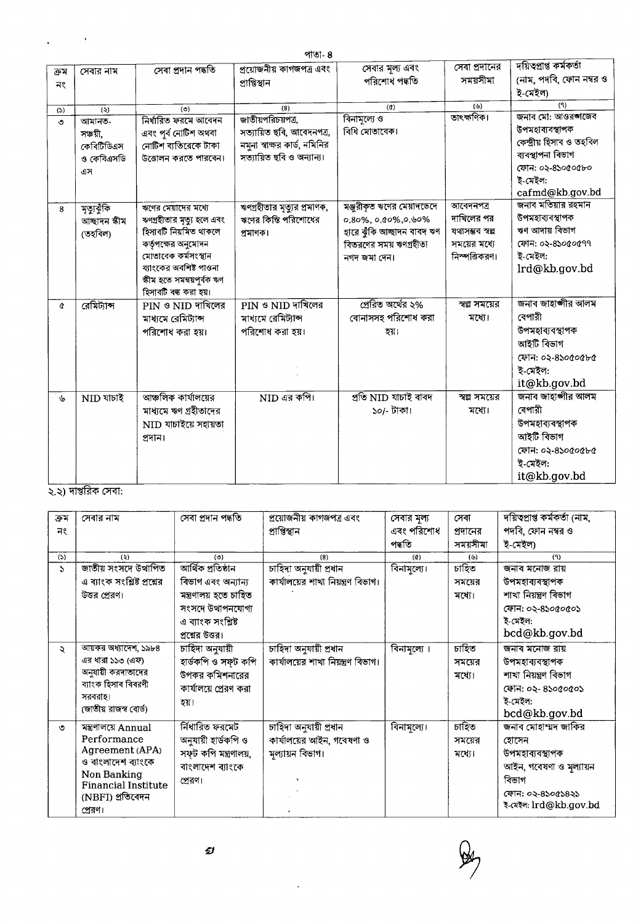|              | পাতা- ৪                                              |                                                                                                                                                                                                          |                                                                                                             |                                                                                                                           |                                                                             |                                                                                                                                        |  |  |  |
|--------------|------------------------------------------------------|----------------------------------------------------------------------------------------------------------------------------------------------------------------------------------------------------------|-------------------------------------------------------------------------------------------------------------|---------------------------------------------------------------------------------------------------------------------------|-----------------------------------------------------------------------------|----------------------------------------------------------------------------------------------------------------------------------------|--|--|--|
| ক্রম<br>নং   | সেবার নাম                                            | সেবা প্ৰদান পদ্ধতি                                                                                                                                                                                       | প্রয়োজনীয় কাগজপত্র এবং<br>প্ৰাপ্তিস্থান                                                                   | সেবার মূল্য এবং<br>পরিশোধ পদ্ধতি                                                                                          | সেবা প্রদানের<br>সময়সীমা                                                   | দয়িত্বপ্ৰাপ্ত কৰ্মকৰ্তা<br>(নাম, পদবি, ফোন নম্বর ও<br>ই-মেইল)                                                                         |  |  |  |
| (5)          | (3)                                                  | (5)                                                                                                                                                                                                      | (8)                                                                                                         | $\left( d \right)$                                                                                                        | $(\mathcal{C})$                                                             | (9)                                                                                                                                    |  |  |  |
| $\circ$      | আমানত-<br>সঞ্চয়ী,<br>কেবিটিডিএস<br>ও কেবিএসডি<br>এস | নিৰ্ধারিত ফরমে আবেদন<br>এবং পূর্ব নোটিশ অথবা<br>নোটিশ ব্যতিরেকে টাকা<br>উত্তোলন করতে পারবেন।                                                                                                             | জাতীয়পরিচয়পত্র,<br>সত্যায়িত ছবি, আবেদনপত্ৰ,<br>নমুনা স্বাক্ষর কার্ড, নমিনির<br>সত্যায়িত ছবি ও অন্যান্য। | বিনামূল্যে ও<br>বিধি মোতাবেক।                                                                                             | তাৎক্ষণিক।                                                                  | জনাব মো: আওরশজেব<br>উপমহাব্যবস্থাপক<br>কেন্দ্ৰীয় হিসাব ও তহবিল<br>ব্যবস্থাপনা বিভাগ<br>ফোন: ০২-৪১০৫০৫৮০<br>ই-মেইল:<br>cafmd@kb.gov.bd |  |  |  |
| 8            | <u>মৃত্যুঝুঁকি</u><br>আছাদন স্কীম<br>(তহবিল)         | ঋণের মেয়াদের মধ্যে<br>ঋণগ্ৰহীতার মৃত্যু হলে এবং<br>হিসাবটি নিয়মিত থাকলে<br>কর্তৃপক্ষের অনুমোদন<br>মোতাবেক কৰ্মসংস্থান<br>ব্যাংকের অবশিষ্ট পাওনা<br>স্কীম হতে সমন্বয়পূৰ্বক ঋণ<br>হিসাবটি বন্ধ করা হয়। | ঋণগ্রহীতার মৃত্যুর প্রমাণক,<br>ঋণের কিন্তি পরিশোধের<br>প্ৰমাণক।                                             | মঞ্জুরীকৃত ঋণের মেয়াদভেদে<br>0.80%, 0.00%, 0.60%<br>হারে ঝুঁকি আচ্ছাদন বাবদ ঋণ<br>বিতরণের সময় ঋণগ্রহীতা<br>নগদ জমা দেন। | আবেদনপত্ৰ<br>দাখিলের পর<br>যথাসম্ভব স্বল্প<br>সময়ের মধ্যে<br>নিস্পত্তিকরণ। | জনাব মতিয়ার রহমান<br>উপমহাব্যবস্থাপক<br>ঋণ আদায় বিভাগ<br>ফোন: ০২-৪১০৫০৫৭৭<br>ই-মেইল:<br>lrd@kb.gov.bd                                |  |  |  |
| ¢            | রেমিট্যান্স                                          | PIN ও NID দাখিলের<br>মাধ্যমে রেমিট্যান্স<br>পরিশোধ করা হয়।                                                                                                                                              | PIN ও NID দাখিলের<br>মাধ্যমে রেমিট্যান্স<br>পরিশোধ করা হয়।                                                 | প্ৰেরিত অর্থের ২%<br>বোনাসসহ পরিশোধ করা<br>হয়।                                                                           | স্বল্প সময়ের<br>মধ্যে।                                                     | জনাব জাহাজীর আলম<br>বেপারী<br>উপমহাব্যবস্থাপক<br>আইটি বিভাগ<br>ফোন: ০২-৪১০৫০৫৮৫<br>ই-মেইল:<br>it@kb.gov.bd                             |  |  |  |
| $\mathbf{b}$ | NID যাচাই                                            | আঞ্চলিক কার্যালয়ের<br>মাধ্যমে ঋণ গ্রহীতাদের<br>NID যাচাইয়ে সহায়তা<br>প্ৰদান।                                                                                                                          | $NID$ এর কপি।                                                                                               | প্ৰতি NID যাচাই বাবদ<br>১০/- টাকা।                                                                                        | স্বল্প সময়ের<br>মধ্যে।                                                     | জনাব জাহাঙ্গীর আলম<br>বেপারী<br>উপমহাব্যবস্থাপক<br>আইটি বিভাগ<br>ফোন: ০২-৪১০৫০৫৮৫<br>ই-মেইল:<br>it@kb.gov.bd                           |  |  |  |

### ২.২) দাপ্তরিক সেবা:

 $\label{eq:2.1} \frac{1}{\sqrt{2}}\left(\frac{1}{\sqrt{2}}\right)^{2} \left(\frac{1}{\sqrt{2}}\right)^{2} \left(\frac{1}{\sqrt{2}}\right)^{2}$ 

| ক্ৰম | সেবার নাম                   | সেবা প্ৰদান পদ্ধতি    | প্রয়োজনীয় কাগজপত্র এবং           | সেবার মূল্য                | সেবা       | দয়িতপ্ৰাপ্ত কৰ্মকৰ্তা (নাম, |
|------|-----------------------------|-----------------------|------------------------------------|----------------------------|------------|------------------------------|
| নং   |                             |                       | প্ৰাপ্তিস্থান                      | এবং পরিশোধ                 | প্রদানের   | পদবি, ফোন নম্বর ও            |
|      |                             |                       |                                    | পদতি                       | সময়সীমা   | ই-মেইল)                      |
| (5)  | (5)                         | (①)                   | (8)                                | $\left( \mathbf{d}\right)$ | $(\theta)$ | (9)                          |
| S.   | জাতীয় সংসদে উত্থাপিত       | আৰ্থিক প্ৰতিষ্ঠান     | চাহিদা অনুযায়ী প্ৰধান             | বিনামূল্যে।                | চাহিত      | জনাব মনোজ রায়               |
|      | এ ব্যাংক সংশ্লিষ্ট প্রশ্নের | বিভাগ এবং অন্যান্য    | কার্যালয়ের শাখা নিয়ন্ত্রণ বিভাগ। |                            | সময়ের     | উপমহাব্যবস্থাপক              |
|      | উত্তর প্রেরণ।               | মন্ত্ৰণালয় হতে চাহিত |                                    |                            | মধ্যে।     | শাখা নিয়ন্ত্ৰণ বিভাগ        |
|      |                             | সংসদে উত্থাপনযোগ্য    |                                    |                            |            | ফোন: ০২-৪১০৫০৫০১             |
|      |                             | এ ব্যাংক সংশ্লিষ্ট    |                                    |                            |            | ই-মেইল:                      |
|      |                             | প্রশ্নের উত্তর।       |                                    |                            |            | bcd@kb.gov.bd                |
| Ź.   | আয়কর অধ্যাদেশ, ১৯৮৪        | চাহিদা অনুযায়ী       | চাহিদা অনুযায়ী প্ৰধান             | বিনামূল্যে ।               | চাহিত      | জনাব মনোজ রায়               |
|      | এর ধারা ১১৩ (এফ)            | হাৰ্ডকপি ও সফট কপি    | কার্যালয়ের শাখা নিয়ন্ত্রণ বিভাগ। |                            | সময়ের     | উপমহাব্যবস্থাপক              |
|      | অনুযায়ী করদাতাদের          | উপকর কমিশনারের        |                                    |                            | মধ্যে।     | শাখা নিয়ন্ত্ৰণ বিভাগ        |
|      | ব্যাংক হিসাব বিবরণী         | কার্যালয়ে প্রেরণ করা |                                    |                            |            | ফোন: ০২- ৪১০৫০৫০১            |
|      | সরবরাহ।                     | হয়।                  |                                    |                            |            | ই-মেইল:                      |
|      | (জাতীয় রাজস্ব বোর্ড)       |                       |                                    |                            |            | bcd@kb.gov.bd                |
| ৩    | মন্ত্রণালয়ে Annual         | র্নিধারিত ফরমেট       | চাহিদা অনুযায়ী প্ৰধান             | বিনামূল্যে।                | চাহিত      | জনাব মোহাম্মদ জাকির          |
|      | Performance                 | অনুযায়ী হার্ডকপি ও   | কার্যালয়ের আইন, গবেষণা ও          |                            | সময়ের     | হোসেন                        |
|      | Agreement (APA)             | সফট কপি মন্ত্ৰণালয়,  | মূল্যায়ন বিভাগ।                   |                            | মধ্যে।     | উপমহাব্যবস্থাপক              |
|      | ও বাংলাদেশ ব্যাংকে          | বাংলাদেশ ব্যাংকে      |                                    |                            |            | আইন, গবেষণা ও মূল্যায়ন      |
|      | Non Banking                 | প্রেরণ।               |                                    |                            |            | বিভাগ                        |
|      | <b>Financial Institute</b>  |                       |                                    |                            |            | ফোন: ০২-৪১০৫১৪২১             |
|      | (NBFI) প্রতিবেদন            |                       |                                    |                            |            | ই-মেইল: lrd@kb.gov.bd        |
|      | প্রেরণ।                     |                       |                                    |                            |            |                              |

 $\sim 10^{11}$ 

 $\boldsymbol{z}$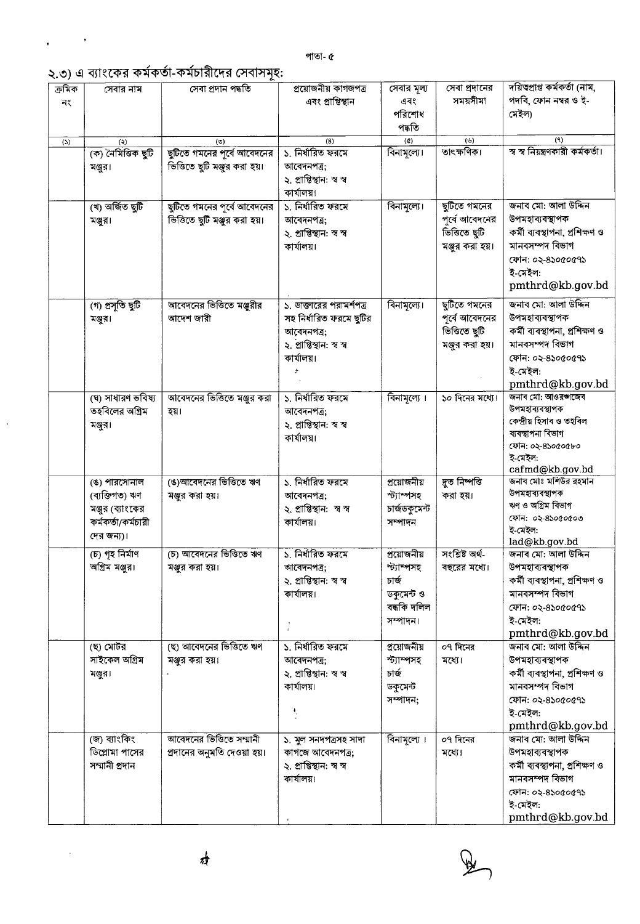# ২.৩) এ ব্যাংকের কর্মকর্তা-কর্মচারীদের সেবাসমূহ:

 $\mathbf{r}^{\left(1\right)}$  and  $\mathbf{r}^{\left(2\right)}$ 

 $\ddot{\phantom{1}}$ 

| ক্ৰমিক          | সেবার নাম          | সেবা প্ৰদান পদ্ধতি            | প্রয়োজনীয় কাগজপত্র      | সেবার মূল্য               | সেবা প্রদানের   | দয়িত্বপ্ৰাপ্ত কৰ্মকৰ্তা (নাম,           |
|-----------------|--------------------|-------------------------------|---------------------------|---------------------------|-----------------|------------------------------------------|
| নং              |                    |                               | এবং প্রাপ্তিস্থান         | এবং                       | সময়সীমা        | পদবি, ফোন নম্বর ও ই-                     |
|                 |                    |                               |                           | পরিশোধ                    |                 | মেইল)                                    |
|                 |                    |                               |                           |                           |                 |                                          |
|                 |                    |                               |                           | পদ্ধতি                    |                 |                                          |
| $(\mathcal{V})$ | $\ddot{z}$         | (③)                           | (8)                       | $\overline{\textbf{(d)}}$ | (৬)             | (9)<br>স্ব স্ব নিয়ন্ত্রণকারী কর্মকর্তা। |
|                 | (ক) নৈমিত্তিক ছুটি | ছুটিতে গমনের পূর্বে আবেদনের   | ১. নির্ধারিত ফরমে         | বিনামূল্যে।               | তাৎক্ষণিক।      |                                          |
|                 | মঞ্জুর।            | ভিত্তিতে ছুটি মঞ্জুর করা হয়। | আবেদনপত্র;                |                           |                 |                                          |
|                 |                    |                               | ২. প্ৰাপ্তিস্থান: স্ব স্ব |                           |                 |                                          |
|                 |                    |                               | কাৰ্যালয়।                |                           |                 |                                          |
|                 | (খ) অৰ্জিত ছুটি    | ছুটিতে গমনের পূর্বে আবেদনের   | ১. নিৰ্ধারিত ফরমে         | বিনামূল্যে।               | ছুটিতে গমনের    | জনাব মো: আলা উদ্দিন                      |
|                 | মঞ্জুর।            | ভিত্তিতে ছুটি মঞ্জুর করা হয়। | আবেদনপত্ৰ;                |                           | পূর্বে আবেদনের  | উপমহাব্যবস্থাপক                          |
|                 |                    |                               | ২. প্ৰাপ্তিস্থান: স্ব স্ব |                           | ভিত্তিতে ছটি    | কৰ্মী ব্যবস্থাপনা, প্ৰশিক্ষণ ও           |
|                 |                    |                               | কাৰ্যালয়।                |                           | মঞ্জুর করা হয়। | মানবসম্পদ বিভাগ                          |
|                 |                    |                               |                           |                           |                 | ফোন: ০২-৪১০৫০৫৭১                         |
|                 |                    |                               |                           |                           |                 |                                          |
|                 |                    |                               |                           |                           |                 | ই-মেইল:                                  |
|                 |                    |                               |                           |                           |                 | pmthrd@kb.gov.bd                         |
|                 | (গ) প্ৰসৃতি ছুটি   | আবেদনের ভিত্তিতে মঞ্জরীর      | ১. ডাক্তারের পরামর্শপত্র  | বিনামূল্যে।               | ছুটিতে গমনের    | জনাব মো: আলা উদ্দিন                      |
|                 | মঞ্জুর।            | আদেশ জারী                     | সহ নির্ধারিত ফরমে ছুটির   |                           | পূর্বে আবেদনের  | উপমহাব্যবস্থাপক                          |
|                 |                    |                               | আবেদনপত্ৰ;                |                           | ভিত্তিতে ছুটি   | কৰ্মী ব্যবস্থাপনা, প্ৰশিক্ষণ ও           |
|                 |                    |                               | ২. প্ৰাপ্তিস্থান: স্ব স্ব |                           | মঞ্জুর করা হয়। | মানবসম্পদ বিভাগ                          |
|                 |                    |                               |                           |                           |                 |                                          |
|                 |                    |                               | কাৰ্যালয়।                |                           |                 | ফোন: ০২-৪১০৫০৫৭১                         |
|                 |                    |                               |                           |                           |                 | ই-মেইল:                                  |
|                 |                    |                               |                           |                           |                 | pmthrd@kb.gov.bd                         |
|                 | (ঘ) সাধারণ ভবিষ্য  | আবেদনের ভিত্তিতে মঞ্জুর করা   | ১. নিৰ্ধারিত ফরমে         | বিনামূল্যে ।              | ১০ দিনের মধ্যে। | জনাব মো: আওরঙ্গজেব                       |
|                 | তহবিলের অগ্রিম     | হয়।                          | আবেদনপত্ৰ;                |                           |                 | উপমহাব্যবস্থাপক                          |
|                 | মঞ্জুর।            |                               | ২. প্ৰাপ্তিস্থান: স্ব স্ব |                           |                 | কেন্দ্ৰীয় হিসাব ও তহবিল                 |
|                 |                    |                               | কাৰ্যালয়।                |                           |                 | ব্যবস্থাপনা বিভাগ                        |
|                 |                    |                               |                           |                           |                 | ফোন: ০২-৪১০৫০৫৮০                         |
|                 |                    |                               |                           |                           |                 | ই-মেইল:                                  |
|                 |                    | (ঙ)আবেদনের ভিত্তিতে ঋণ        | ১. নিৰ্ধারিত ফরমে         | প্ৰয়োজনীয়               | দুত নিষ্পত্তি   | cafmd@kb.gov.bd<br>জনাব মোঃ মশিউর রহমান  |
|                 | (ঙ) পারসোনাল       |                               |                           |                           |                 | উপমহাব্যবস্থাপক                          |
|                 | (ব্যক্তিগত) ঋণ     | মঞ্জুর করা হয়।               | আবেদনপত্ৰ;                | স্ট্যাম্পসহ               | করা হয়।        | ঋণ ও অগ্রিম বিভাগ                        |
|                 | মঞ্জুর (ব্যাংকের   |                               | ২. প্ৰাপ্তিস্থান: স্ব স্ব | চাৰ্জডকুমেন্ট             |                 | ফোন: ০২-৪১০৫০৫০৩                         |
|                 | কর্মকর্তা/কর্মচারী |                               | কাৰ্যালয়।                | সম্পাদন                   |                 | ই-মেইল:                                  |
|                 | দের জন্য)।         |                               |                           |                           |                 | lad@kb.gov.bd                            |
|                 | (চ) গৃহ নিৰ্মাণ    | (চ) আবেদনের ভিত্তিতে ঋণ       | ১. নিৰ্ধাৰিত ফরমে         | প্ৰয়োজনীয়               | সংশ্লিষ্ট অৰ্থ- | জনাব মো: আলা উদ্দিন                      |
|                 | অগ্রিম মঞ্জুর।     | মঞ্জুর করা হয়।               | আবেদনপত্ৰ;                | স্ট্যাম্পসহ               | বছরের মধ্যে।    | উপমহাব্যবস্থাপক                          |
|                 |                    |                               | ২. প্ৰাপ্তিস্থান: স্ব স্ব | চাৰ্জ                     |                 | কৰ্মী ব্যবস্থাপনা, প্ৰশিক্ষণ ও           |
|                 |                    |                               |                           |                           |                 | মানবসম্পদ বিভাগ                          |
|                 |                    |                               | কাৰ্যালয়।                | ডকুমেন্ট ও                |                 |                                          |
|                 |                    |                               |                           | বন্ধকি দলিল               |                 | ফোন: ০২-৪১০৫০৫৭১                         |
|                 |                    |                               |                           | সম্পাদন।                  |                 | ই-মেইল:                                  |
|                 |                    |                               |                           |                           |                 | pmthrd@kb.gov.bd                         |
|                 | (ছ) মোটর           | (ছ) আবেদনের ভিত্তিতে ঋণ       | ১. নির্ধারিত ফরমে         | প্রয়োজনীয়               | ০৭ দিনের        | জনাব মো: আলা উদ্দিন                      |
|                 | সাইকেল অগ্রিম      | মঞ্জুর করা হয়।               | আবেদনপত্র;                | স্ট্যাম্পসহ               | মধ্যে।          | উপমহাব্যবস্থাপক                          |
|                 | মঞ্জুর।            |                               | ২. প্ৰাপ্তিস্থান: স্ব স্ব | চাৰ্জ                     |                 | কৰ্মী ব্যবস্থাপনা, প্ৰশিক্ষণ ও           |
|                 |                    |                               | কাৰ্যালয়।                | ডকুমেন্ট                  |                 | মানবসম্পদ বিভাগ                          |
|                 |                    |                               |                           | সম্পাদন;                  |                 | ফোন: ০২-৪১০৫০৫৭১                         |
|                 |                    |                               | Ņ                         |                           |                 | ই-মেইল:                                  |
|                 |                    |                               |                           |                           |                 | pmthrd@kb.gov.bd                         |
|                 | (জ) ব্যাংকিং       | আবেদনের ভিত্তিতে সম্মানী      | ১. মুল সনদপত্ৰসহ সাদা     | বিনামূল্যে ।              | ০৭ দিনের        | জনাব মো: আলা উদ্দিন                      |
|                 | ডিপ্লোমা পাসের     | প্রদানের অনুমতি দেওয়া হয়।   | কাগজে আবেদনপত্র;          |                           | মধ্যে।          | উপমহাব্যবস্থাপক                          |
|                 | সম্মানী প্ৰদান     |                               | ২. প্ৰাপ্তিস্থান: স্ব স্ব |                           |                 | কৰ্মী ব্যবস্থাপনা, প্ৰশিক্ষণ ও           |
|                 |                    |                               | কাৰ্যালয়।                |                           |                 | মানবসম্পদ বিভাগ                          |
|                 |                    |                               |                           |                           |                 | ফোন: ০২-৪১০৫০৫৭১                         |
|                 |                    |                               |                           |                           |                 |                                          |
|                 |                    |                               |                           |                           |                 | ই-মেইল:<br>pmthrd@kb.gov.bd              |
|                 |                    |                               |                           |                           |                 |                                          |



 $\sim$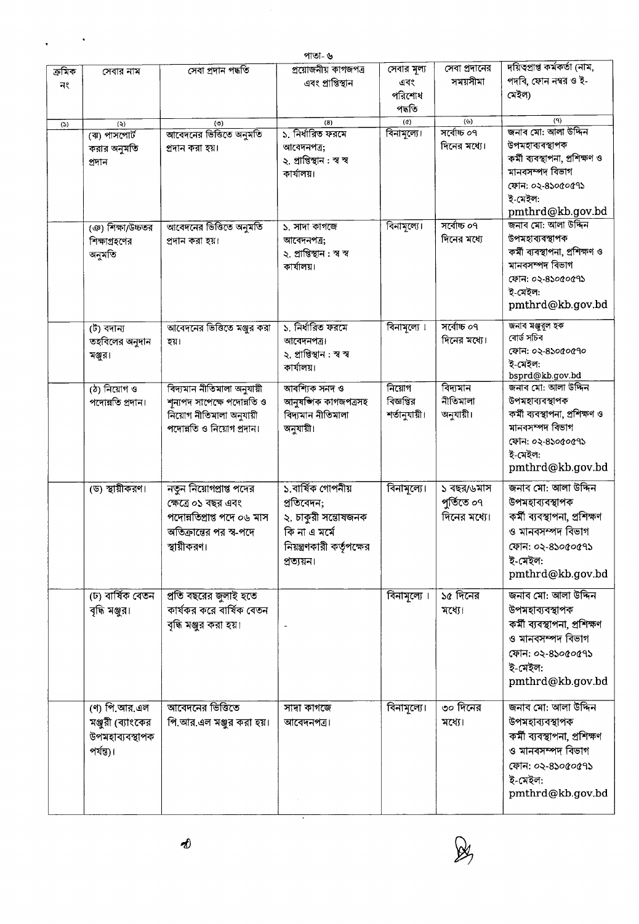|              | পাতা- ৬           |                             |                                           |                         |                           |                                                        |  |  |
|--------------|-------------------|-----------------------------|-------------------------------------------|-------------------------|---------------------------|--------------------------------------------------------|--|--|
| ক্ৰমিক<br>নং | সেবার নাম         | সেবা প্ৰদান পদ্ধতি          | প্রয়োজনীয় কাগজপত্র<br>এবং প্রাপ্তিস্থান | সেবার মূল্য<br>এবং      | সেবা প্রদানের<br>সময়সীমা | দয়িত্বপ্ৰাপ্ত কৰ্মকৰ্তা (নাম,<br>পদবি, ফোন নম্বর ও ই- |  |  |
|              |                   |                             |                                           | পরিশোধ<br>পদ্ধতি        |                           | মেইল)                                                  |  |  |
| (5)          | (3)               | (0)                         | (8)                                       | $\left( \alpha \right)$ | $(\varphi)$               | (9)                                                    |  |  |
|              | (ঝ) পাসপোর্ট      | আবেদনের ভিত্তিতে অনুমতি     | ১. নিৰ্ধারিত ফরমে                         | বিনামূল্যে।             | সৰ্বোচ্চ ০৭               | জনাব মো: আলা উদ্দিন                                    |  |  |
|              | করার অনুমতি       | প্ৰদান করা হয়।             | আবেদনপত্র;                                |                         | দিনের মধ্যে।              | উপমহাব্যবস্থাপক                                        |  |  |
|              | প্ৰদান            |                             | ২. গ্ৰাপ্তিস্থান : স্ব স্ব                |                         |                           | কৰ্মী ব্যবস্থাপনা, প্ৰশিক্ষণ ও                         |  |  |
|              |                   |                             | কাৰ্যালয়।                                |                         |                           | মানবসম্পদ বিভাগ                                        |  |  |
|              |                   |                             |                                           |                         |                           | ফোন: ০২-৪১০৫০৫৭১                                       |  |  |
|              |                   |                             |                                           |                         |                           | ই-মেইল:                                                |  |  |
|              |                   |                             |                                           |                         |                           |                                                        |  |  |
|              |                   |                             |                                           |                         |                           | pmthrd@kb.gov.bd                                       |  |  |
|              | (ঞ) শিক্ষা/উচ্চতর | আবেদনের ভিত্তিতে অনুমতি     | ১. সাদা কাগজে                             | বিনামূল্যে।             | সৰ্বোচ্চ ০৭               | জনাব মো: আলা উদ্দিন                                    |  |  |
|              | শিক্ষাগ্রহণের     | প্রদান করা হয়।             | আবেদনপত্ৰ;                                |                         | দিনের মধ্যে               | উপমহাব্যবস্থাপক                                        |  |  |
|              | অনুমতি            |                             | ২. প্ৰাপ্তিস্থান : স্ব স্ব                |                         |                           | কৰ্মী ব্যবস্থাপনা, প্ৰশিক্ষণ ও                         |  |  |
|              |                   |                             | কাৰ্যালয়।                                |                         |                           | মানবসম্পদ বিভাগ                                        |  |  |
|              |                   |                             |                                           |                         |                           | ফোন: ০২-৪১০৫০৫৭১                                       |  |  |
|              |                   |                             |                                           |                         |                           | ই-মেইল:                                                |  |  |
|              |                   |                             |                                           |                         |                           | pmthrd@kb.gov.bd                                       |  |  |
|              |                   |                             |                                           |                         |                           |                                                        |  |  |
|              | (ট) বদান্য        | আবেদনের ভিত্তিতে মঞ্জুর করা | ১, নিৰ্ধারিত ফরমে                         | বিনামূল্যে ।            | সৰ্বোচ্চ ০৭               | জনাব মঞ্জুরূল হক                                       |  |  |
|              | তহবিলের অনুদান    | হয়।                        | অাবেদনপত্ৰ৷                               |                         | দিনের মধ্যে।              | বোৰ্ড সচিব                                             |  |  |
|              | মঞ্জুর।           |                             | ২. প্ৰাপ্তিস্থান : স্ব স্ব                |                         |                           | ফোন: ০২-৪১০৫০৫৭০                                       |  |  |
|              |                   |                             | কাৰ্যালয়।                                |                         |                           | ই-মেইল:                                                |  |  |
|              |                   |                             |                                           |                         |                           | bsprd@kb.gov.bd                                        |  |  |
|              | (ঠ) নিয়োগ ও      | বিদ্যমান নীতিমালা অনুযায়ী  | আবশ্যিক সনদ ও                             | নিয়োগ                  | বিদ্যমান                  | জনাব মো: আলা উদ্দিন                                    |  |  |
|              | পদোন্নতি প্ৰদান।  | শূন্যপদ সাপেক্ষে পদোন্নতি ও | আনুষঙ্গিক কাগজপত্ৰসহ                      | বিজ্ঞপ্তির              | নীতিমালা                  | উপমহাব্যবস্থাপক                                        |  |  |
|              |                   | নিয়োগ নীতিমালা অনুযায়ী    | বিদ্যমান নীতিমালা                         | শর্তানুযায়ী।           | অনুযায়ী।                 | কৰ্মী ব্যবস্থাপনা, প্ৰশিক্ষণ ও                         |  |  |
|              |                   | পদোন্নতি ও নিয়োগ প্রদান।   | অনুযায়ী।                                 |                         |                           | মানবসম্পদ বিভাগ                                        |  |  |
|              |                   |                             |                                           |                         |                           | ফোন: ০২-৪১০৫০৫৭১                                       |  |  |
|              |                   |                             |                                           |                         |                           | ই-মেইল:                                                |  |  |
|              |                   |                             |                                           |                         |                           | pmthrd@kb.gov.bd                                       |  |  |
|              |                   |                             |                                           |                         |                           |                                                        |  |  |
|              | (ড) স্থায়ীকরণ।   | নতুন নিয়োগপ্রাপ্ত পদের     | ১.বাৰ্ষিক গোপনীয়                         | বিনামূল্যে।             | ১ বছর/৬মাস                | জনাব মো: আলা উদ্দিন                                    |  |  |
|              |                   | ক্ষেত্রে ০১ বছর এবং         | প্ৰতিবেদন;                                |                         | পূৰ্তিতে ০৭               | উপমহাব্যবস্থাপক                                        |  |  |
|              |                   | পদোন্নতিপ্ৰাপ্ত পদে ০৬ মাস  | ২. চাকুরী সন্তোষজনক                       |                         | দিনের মধ্যে।              | কৰ্মী ব্যবস্থাপনা, প্ৰশিক্ষণ                           |  |  |
|              |                   | অতিক্রান্তের পর স্ব-পদে     | কি না এ মৰ্মে                             |                         |                           | ও মানবসম্পদ বিভাগ                                      |  |  |
|              |                   |                             |                                           |                         |                           |                                                        |  |  |
|              |                   | স্থায়ীকরণ।                 | নিয়ন্ত্রণকারী কর্তৃপক্ষের                |                         |                           | ফোন: ০২-৪১০৫০৫৭১                                       |  |  |
|              |                   |                             | প্ৰত্যয়ন।                                |                         |                           | ই-মেইল:                                                |  |  |
|              |                   |                             |                                           |                         |                           | pmthrd@kb.gov.bd                                       |  |  |
|              | (ঢ) বাৰ্ষিক বেতন  | প্রতি বছরের জুলাই হতে       |                                           | বিনামূল্যে ।            | ১৫ দিনের                  | জনাব মো: আলা উদ্দিন                                    |  |  |
|              |                   | কার্যকর করে বার্ষিক বেতন    |                                           |                         | মধ্যে।                    | উপমহাব্যবস্থাপক                                        |  |  |
|              | বৃদ্ধি মঞ্জুর।    |                             |                                           |                         |                           |                                                        |  |  |
|              |                   | বৃদ্ধি মঞ্জুর করা হয়।      |                                           |                         |                           | কৰ্মী ব্যবস্থাপনা, প্ৰশিক্ষণ                           |  |  |
|              |                   |                             |                                           |                         |                           | ও মানবসম্পদ বিভাগ                                      |  |  |
|              |                   |                             |                                           |                         |                           | ফোন: ০২-৪১০৫০৫৭১                                       |  |  |
|              |                   |                             |                                           |                         |                           | ই-মেইল:                                                |  |  |
|              |                   |                             |                                           |                         |                           | pmthrd@kb.gov.bd                                       |  |  |
|              |                   |                             |                                           |                         |                           |                                                        |  |  |
|              | (ণ) পি.আর.এল      | আবেদনের ভিত্তিতে            | সাদা কাগজে                                | বিনামূল্যে।             | ৩০ দিনের                  | জনাব মো: আলা উদ্দিন                                    |  |  |
|              | মঞ্জুরী (ব্যাংকের | পি.আর.এল মঞ্জুর করা হয়।    | আবেদনপত্র।                                |                         | মধ্যে।                    | উপমহাব্যবস্থাপক                                        |  |  |
|              | উপমহাব্যবস্থাপক   |                             |                                           |                         |                           | কৰ্মী ব্যবস্থাপনা, প্ৰশিক্ষণ                           |  |  |
|              |                   |                             |                                           |                         |                           |                                                        |  |  |
|              | পর্যন্ত)।         |                             |                                           |                         |                           | ও মানবসম্পদ বিভাগ                                      |  |  |
|              |                   |                             |                                           |                         |                           | ফোন: ০২-৪১০৫০৫৭১                                       |  |  |
|              |                   |                             |                                           |                         |                           | ই-মেইল:                                                |  |  |
|              |                   |                             |                                           |                         |                           | pmthrd@kb.gov.bd                                       |  |  |
|              |                   |                             |                                           |                         |                           |                                                        |  |  |

 $\mathbb{R}$ 

 $\sim 10^{11}$ 

 $\bar{\mathbf{v}}$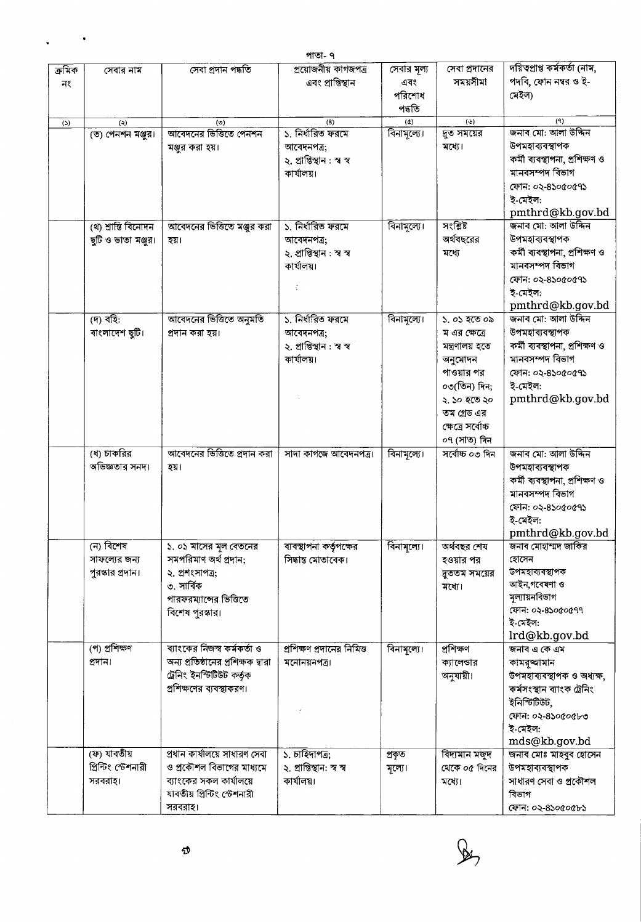|        | পাতা- ৭                       |                                     |                            |                |                   |                                |  |
|--------|-------------------------------|-------------------------------------|----------------------------|----------------|-------------------|--------------------------------|--|
| ক্ৰমিক | সেবার নাম                     | সেবা প্ৰদান পদ্ধতি                  | প্রয়োজনীয় কাগজপত্র       | সেবার মূল্য    | সেবা প্রদানের     | দয়িতপ্ৰাপ্ত কৰ্মকৰ্তা (নাম,   |  |
| নং     |                               |                                     | এবং প্রাপ্তিস্থান          | এবং            | সময়সীমা          | পদবি, ফোন নম্বর ও ই-           |  |
|        |                               |                                     |                            | পরিশোধ         |                   | মেইল)                          |  |
|        |                               |                                     |                            | পদতি           |                   |                                |  |
|        |                               |                                     | (8)                        | $\overline{a}$ | (4)               | (ዓ)                            |  |
| (5)    | (5)<br>।<br>(ত) পেনশন মঞ্জুর। | $($ c $)$<br>আবেদনের ভিত্তিতে পেনশন | ১. নির্ধারিত ফরমে          | বিনামূল্যে।    | দ্রুত সময়ের      | জনাব মো: আলা উদ্দিন            |  |
|        |                               |                                     |                            |                |                   | উপমহাব্যবস্থাপক                |  |
|        |                               | মঞ্জুর করা হয়।                     | আবেদনপত্ৰ;                 |                | মধ্যে।            |                                |  |
|        |                               |                                     | ২. প্ৰাপ্তিস্থান : স্ব স্ব |                |                   | কৰ্মী ব্যবস্থাপনা, প্ৰশিক্ষণ ও |  |
|        |                               |                                     | কাৰ্যালয়।                 |                |                   | মানবসম্পদ বিভাগ                |  |
|        |                               |                                     |                            |                |                   | ফোন: ০২-৪১০৫০৫৭১               |  |
|        |                               |                                     |                            |                |                   | ই-মেইল:                        |  |
|        |                               |                                     |                            |                |                   | pmthrd@kb.gov.bd               |  |
|        | (থ) শ্ৰান্তি বিনোদন           | আবেদনের ভিত্তিতে মঞ্জুর করা         | ১. নিৰ্ধারিত ফরমে          | विनाभूत्ला।    | সংশ্লিষ্ট         | জনাব মো: আলা উদ্দিন            |  |
|        | ছুটি ও ভাতা মঞ্জুর।           | হয়।                                | আবেদনপত্ৰ;                 |                | অর্থবছরের         | উপমহাব্যবস্থাপক                |  |
|        |                               |                                     | ২. প্ৰাপ্তিস্থান : স্ব স্ব |                | মধ্যে             | কৰ্মী ব্যবস্থাপনা, প্ৰশিক্ষণ ও |  |
|        |                               |                                     | কাৰ্যালয়।                 |                |                   | মানবসম্পদ বিভাগ                |  |
|        |                               |                                     |                            |                |                   | ফোন: ০২-৪১০৫০৫৭১               |  |
|        |                               |                                     | ÷                          |                |                   | ই-মেইল:                        |  |
|        |                               |                                     |                            |                |                   | pmthrd@kb.gov.bd               |  |
|        |                               |                                     | ১. নিৰ্ধারিত ফরমে          |                | ১. ০১ হতে ০৯      | জনাব মো: আলা উদ্দিন            |  |
|        | (দ) বহি:                      | আবেদনের ভিত্তিতে অনুমতি             |                            | বিনামূল্যে।    |                   |                                |  |
|        | বাংলাদেশ ছুটি।                | প্রদান করা হয়।                     | আবেদনপত্ৰ;                 |                | ম এর ক্ষেত্রে     | উপমহাব্যবস্থাপক                |  |
|        |                               |                                     | ২. প্ৰান্তিস্থান : স্ব স্ব |                | মন্ত্ৰণালয় হতে   | কৰ্মী ব্যবস্থাপনা, প্ৰশিক্ষণ ও |  |
|        |                               |                                     | কাৰ্যালয়।                 |                | অনুমোদন           | মানবসম্পদ বিভাগ                |  |
|        |                               |                                     |                            |                | পাওয়ার পর        | ফোন: ০২-৪১০৫০৫৭১               |  |
|        |                               |                                     |                            |                | ০৩(তিন) দিন;      | ই-মেইল:                        |  |
|        |                               |                                     |                            |                | ২. ১০ হতে ২০      | pmthrd@kb.gov.bd               |  |
|        |                               |                                     |                            |                | তম গ্ৰেড এর       |                                |  |
|        |                               |                                     |                            |                | ক্ষেত্রে সর্বোচ্চ |                                |  |
|        |                               |                                     |                            |                | ০৭ (সাত) দিন      |                                |  |
|        | (ধ) চাকরির                    | আবেদনের ভিত্তিতে প্রদান করা         | সাদা কাগজে আবেদনপত্র।      | বিনামূল্যে।    | সৰ্বোচ্চ ০৩ দিন   | জনাব মো: আলা উদ্দিন            |  |
|        | অভিজ্ঞতার সনদ।                |                                     |                            |                |                   |                                |  |
|        |                               | হয়।                                |                            |                |                   | উপমহাব্যবস্থাপক                |  |
|        |                               |                                     |                            |                |                   | কৰ্মী ব্যবস্থাপনা, প্ৰশিক্ষণ ও |  |
|        |                               |                                     |                            |                |                   | মানবসম্পদ বিভাগ                |  |
|        |                               |                                     |                            |                |                   | ফোন: ০২-৪১০৫০৫৭১               |  |
|        |                               |                                     |                            |                |                   | ই-মেইল:                        |  |
|        |                               |                                     |                            |                |                   | pmthrd@kb.gov.bd               |  |
|        | (ন) বিশেষ                     | ১. ০১ মাসের মূল বেতনের              | ব্যবস্থাপনা কর্তৃপক্ষের    | বিনামূল্যে।    | অৰ্থবছর শেষ       | জনাব মোহাম্মদ জাকির            |  |
|        | সাফল্যের জন্য                 | সমপরিমাণ অর্থ প্রদান;               | সিদ্ধান্ত মোতাবেক।         |                | হওয়ার পর         | হোসেন                          |  |
|        | পুরস্কার প্রদান।              | ২. প্রশংসাপত্র:                     |                            |                | দুততম সময়ের      | উপমহাব্যবস্থাপক                |  |
|        |                               | ৩. সার্বিক                          |                            |                | মধ্যে।            | আইন,গবেষণা ও                   |  |
|        |                               | পারফরম্যান্সের ভিত্তিতে             |                            |                |                   | মূল্যায়নবিভাগ                 |  |
|        |                               | বিশেষ পুরস্কার।                     |                            |                |                   | ফোন: ০২-৪১০৫০৫৭৭               |  |
|        |                               |                                     |                            |                |                   | ই-মেইল:                        |  |
|        |                               |                                     |                            |                |                   | lrd@kb.gov.bd                  |  |
|        | (প) প্ৰশিক্ষণ                 | ব্যাংকের নিজস্ব কর্মকর্তা ও         | প্রশিক্ষণ প্রদানের নিমিত্ত | বিনামূল্যে।    | প্ৰশিক্ষণ         | জনাব এ কে এম                   |  |
|        | প্ৰদান।                       | অন্য প্রতিষ্ঠানের প্রশিক্ষক দ্বারা  | মনোনয়নপত্র।               |                | ক্যালেন্ডার       | কামরূজ্জামান                   |  |
|        |                               | ট্রেনিং ইনস্টিটিউট কর্তৃক           |                            |                | অনুযায়ী।         | উপমহাব্যবস্থাপক ও অধ্যক্ষ,     |  |
|        |                               | প্রশিক্ষণের ব্যবস্থাকরণ।            |                            |                |                   |                                |  |
|        |                               |                                     |                            |                |                   | কৰ্মসংস্থান ব্যাংক ট্ৰেনিং     |  |
|        |                               |                                     |                            |                |                   | ইনিস্টিউট,                     |  |
|        |                               |                                     |                            |                |                   | ফোন: ০২-৪১০৫০৫৮৩               |  |
|        |                               |                                     |                            |                |                   | ই-মেইল:                        |  |
|        |                               |                                     |                            |                |                   | mds@kb.gov.bd                  |  |
|        | (ফ) যাবতীয়                   | প্ৰধান কাৰ্যালয়ে সাধারণ সেবা       | ১. চাহিদাপত্র;             | প্ৰকৃত         | বিদ্যমান মজুদ     | জনাব মোঃ মাহবুব হোসেন          |  |
|        | প্ৰিন্টিং স্টেশনারী           | ও প্রকৌশল বিভাগের মাধ্যমে           | ২. প্ৰাপ্তিস্থান: স্ব স্ব  | মূল্যে।        | থেকে ০৫ দিনের     | উপমহাব্যবস্থাপক                |  |
|        | সরবরাহ।                       | ব্যাংকের সকল কার্যালয়ে             | কাৰ্যালয়।                 |                | মধ্যে।            | সাধারণ সেবা ও প্রকৌশল          |  |
|        |                               | যাবতীয় প্রিন্টিং স্টেশনারী         |                            |                |                   | বিভাগ                          |  |
|        |                               | সরবরাহ।                             |                            |                |                   | ফোন: ০২-৪১০৫০৫৮১               |  |



 $\frac{1}{2}$  ,  $\frac{1}{2}$  ,  $\frac{1}{2}$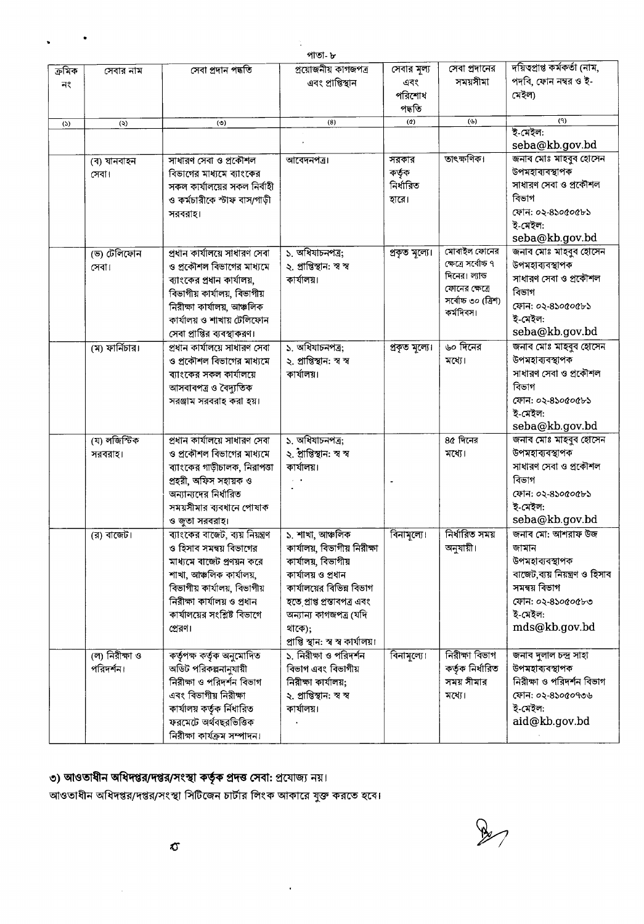|                             | পাতা- ৮                     |                                                                                                                                                                                                                                |                                                                                                                                                                                                                                      |                                        |                                                                                                             |                                                                                                                                                  |  |  |
|-----------------------------|-----------------------------|--------------------------------------------------------------------------------------------------------------------------------------------------------------------------------------------------------------------------------|--------------------------------------------------------------------------------------------------------------------------------------------------------------------------------------------------------------------------------------|----------------------------------------|-------------------------------------------------------------------------------------------------------------|--------------------------------------------------------------------------------------------------------------------------------------------------|--|--|
| ক্ৰমিক<br>নং                | সেবার নাম                   | সেবা প্ৰদান পদ্ধতি                                                                                                                                                                                                             | প্রয়োজনীয় কাগজপত্র<br>এবং প্রাপ্তিস্থান                                                                                                                                                                                            | সেবার মূল্য<br>এবং<br>পরিশোধ<br>পদ্ধতি | সেবা প্রদানের<br>সময়সীমা                                                                                   | দয়িত্বপ্ৰাপ্ত কৰ্মকৰ্তা (নাম,<br>পদবি, ফোন নম্বর ও ই-<br>মেইল)                                                                                  |  |  |
| $\left( \mathcal{S}\right)$ | $\ddot{\mathcal{L}}$        | (°)                                                                                                                                                                                                                            | (8)                                                                                                                                                                                                                                  | $\left( 0\right)$                      | $(\mathcal{P})$                                                                                             | (9)                                                                                                                                              |  |  |
|                             |                             |                                                                                                                                                                                                                                |                                                                                                                                                                                                                                      |                                        |                                                                                                             | ই-মেইল:<br>seba@kb.gov.bd                                                                                                                        |  |  |
|                             | (ব) যানবাহন<br>সেবা।        | সাধারণ সেবা ও প্রকৌশল<br>বিভাগের মাধ্যমে ব্যাংকের<br>সকল কার্যালয়ের সকল নির্বাহী<br>ও কর্মচারীকে স্টাফ বাস/গাড়ী<br>সরবরাহ।                                                                                                   | আবেদনপত্র।                                                                                                                                                                                                                           | সরকার<br>কর্তৃক<br>নিৰ্ধারিত<br>হারে।  | তাৎক্ষণিক।                                                                                                  | জনাব মোঃ মাহবুব হোসেন<br>উপমহাব্যবস্থাপক<br>সাধারণ সেবা ও প্রকৌশল<br>বিতাগ<br>ফোন: ০২-৪১০৫০৫৮১<br>ই-মেইল:<br>seba@kb.gov.bd                      |  |  |
|                             | ভে) টেলিফোন<br>সেবা।        | প্রধান কার্যালয়ে সাধারণ সেবা<br>ও প্রকৌশল বিভাগের মাধ্যমে<br>ব্যাংকের প্রধান কার্যালয়,<br>বিভাগীয় কাৰ্যালয়, বিভাগীয়<br>নিরীক্ষা কার্যালয়, আঞ্চলিক<br>কার্যালয় ও শাখায় টেলিফোন<br>সেবা প্রাপ্তির ব্যবস্থাকরণ।           | ১. অধিযাচনপত্ৰ;<br>২. প্ৰাপ্তিস্থান: স্ব স্ব<br>কাৰ্যালয়।                                                                                                                                                                           | প্ৰকৃত মূল্যে।                         | মোবাইল ফোনের<br>ক্ষেত্রে সর্বোচ্চ ৭<br>দিনের। ল্যান্ড<br>ফোনের ক্ষেত্রে<br>সৰ্বোচ্চ ৩০ (ত্ৰিশ)<br>কৰ্মদিবস। | জনাব মোঃ মাহবুব হোসেন<br>উপমহাব্যবস্থাপক<br>সাধারণ সেবা ও প্রকৌশল<br>বিভাগ<br>ফোন: ০২-৪১০৫০৫৮১<br>ই-মেইল:<br>seba@kb.gov.bd                      |  |  |
|                             | (ম) ফার্নিচার।              | প্রধান কার্যালয়ে সাধারণ সেবা<br>ও প্রকৌশল বিভাগের মাধ্যমে<br>ব্যাংকের সকল কার্যালয়ে<br>আসবাবপত্ৰ ও বৈদ্যুতিক<br>সরঞ্জাম সরবরাহ করা হয়।                                                                                      | ১. অধিযাচনপত্ৰ;<br>২. প্ৰাপ্তিস্থান: স্ব স্ব<br>কাৰ্যালয়।                                                                                                                                                                           | প্ৰকৃত মূল্যে।                         | ৬০ দিনের<br>মধ্যে।                                                                                          | জনাব মোঃ মাহবুব হোসেন<br>উপমহাব্যবস্থাপক<br>সাধারণ সেবা ও প্রকৌশল<br>বিভাগ<br>ফোন: ০২-৪১০৫০৫৮১<br>ই-মেইল:<br>seba@kb.gov.bd                      |  |  |
|                             | (য) লজিস্টিক<br>সরবরাহ।     | প্রধান কার্যালয়ে সাধারণ সেবা<br>ও প্রকৌশল বিভাগের মাধ্যমে<br>ব্যাংকের গাড়ীচালক, নিরাপত্তা<br>প্ৰহরী, অফিস সহায়ক ও<br>অন্যান্যদের নির্ধারিত<br>সময়সীমার ব্যবধানে পোষাক<br>ও জুতা সরবরাহ।                                    | ১. অধিযাচনপত্র;<br>২. প্রাপ্তিস্থান: স্ব স্ব<br>কাৰ্যালয়।                                                                                                                                                                           |                                        | $8$ ৫ দিনের<br>মধ্যে।                                                                                       | জনাব মোঃ মাহবুব হোসেন<br>উপমহাব্যবস্থাপক<br>সাধারণ সেবা ও প্রকৌশল<br>বিভাগ<br>ফোন: ০২-৪১০৫০৫৮১<br>ই-মেইল:<br>seba@kb.gov.bd                      |  |  |
|                             | (র) বাজেট।                  | ব্যাংকের বাজেট, ব্যয় নিয়ন্ত্রণ<br>ও হিসাব সমন্বয় বিভাগের<br>মাধ্যমে বাজেট প্রণয়ন করে<br>শাখা, আঞ্চলিক কাৰ্যালয়,<br>বিভাগীয় কাৰ্যালয়, বিভাগীয়<br>নিরীক্ষা কার্যালয় ও প্রধান<br>কার্যালয়ের সংশ্লিষ্ট বিভাগে<br>প্রেরণ। | ১. শাখা, আঞ্চলিক<br>কার্যালয়, বিভাগীয় নিরীক্ষা<br>কাৰ্যালয়, বিভাগীয়<br>কাৰ্যালয় ও প্ৰধান<br>কার্যালয়ের বিভিন্ন বিভাগ<br>হতে প্ৰাপ্ত প্ৰস্তাবপত্ৰ এবং<br>অন্যান্য কাগজপত্ৰ (যদি<br>থাকে);<br>প্ৰাপ্তি স্থান: স্ব স্ব কাৰ্যালয়। | বিনামূল্যে।                            | নিৰ্ধারিত সময়<br>অনুযায়ী।                                                                                 | জনাব মো: আশরাফ উজ<br>জামান<br>উপমহাব্যবস্থাপক<br>বাজেট,ব্যয় নিয়ন্ত্রণ ও হিসাব<br>সমন্বয় বিভাগ<br>ফোন: ০২-৪১০৫০৫৮৩<br>ই-মেইল:<br>mds@kb.gov.bd |  |  |
|                             | (ল) নিরীক্ষা ও<br>পরিদর্শন। | কৰ্তৃপক্ষ কৰ্তৃক অনুমোদিত<br>অডিট পরিকল্পনানুযায়ী<br>নিরীক্ষা ও পরিদর্শন বিভাগ<br>এবং বিভাগীয় নিরীক্ষা<br>কার্যালয় কর্তৃক নিঁধারিত<br>ফরমেটে অর্থবছরভিত্তিক<br>নিরীক্ষা কার্যক্রম সম্পাদন।                                  | ১. নিরীক্ষা ও পরিদর্শন<br>বিভাগ এবং বিভাগীয়<br>নিরীক্ষা কার্যালয়;<br>২. প্ৰাপ্তিস্থান: স্ব স্ব<br>কাৰ্যালয়।                                                                                                                       | বিনামূল্যে।                            | নিরীক্ষা বিভাগ<br>কর্তৃক নির্ধারিত<br>সময় সীমার<br>মধ্যে।                                                  | জনাব দুলাল চন্দ্ৰ সাহা<br>উপমহাব্যবস্থাপক<br>নিরীক্ষা ও পরিদর্শন বিভাগ<br>ফোন: ০২-৪১০৫০৭৩৬<br>ই-মেইল:<br>aid@kb.gov.bd                           |  |  |

## ৩) আওতাধীন অধিদপ্তর/দপ্তর/সংস্থা কর্তৃক প্রদত্ত সেবা: প্রযোজ্য নয়।

 $\bullet$ 

আওতাধীন অধিদপ্তর/দপ্তর/সংস্থা সিটিজেন চার্টার লিংক আকারে যুক্ত করতে হবে।

 $\frac{1}{2}$